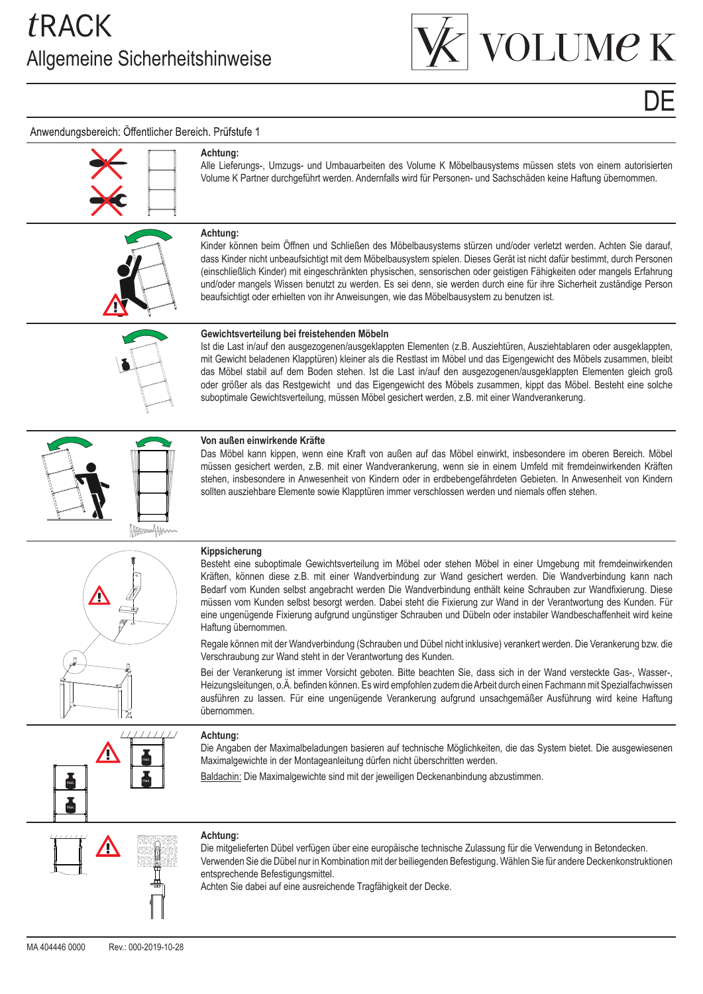

# DE

### Anwendungsbereich: Öffentlicher Bereich. Prüfstufe 1

### **Achtung:**

**Achtung:**

Kinder können beim Öffnen und Schließen des Möbelbausystems stürzen und/oder verletzt werden. Achten Sie darauf, dass Kinder nicht unbeaufsichtigt mit dem Möbelbausystem spielen. Dieses Gerät ist nicht dafür bestimmt, durch Personen (einschließlich Kinder) mit eingeschränkten physischen, sensorischen oder geistigen Fähigkeiten oder mangels Erfahrung und/oder mangels Wissen benutzt zu werden. Es sei denn, sie werden durch eine für ihre Sicherheit zuständige Person beaufsichtigt oder erhielten von ihr Anweisungen, wie das Möbelbausystem zu benutzen ist.

Alle Lieferungs-, Umzugs- und Umbauarbeiten des Volume K Möbelbausystems müssen stets von einem autorisierten Volume K Partner durchgeführt werden. Andernfalls wird für Personen- und Sachschäden keine Haftung übernommen.



### **Gewichtsverteilung bei freistehenden Möbeln**

Ist die Last in/auf den ausgezogenen/ausgeklappten Elementen (z.B. Ausziehtüren, Ausziehtablaren oder ausgeklappten, mit Gewicht beladenen Klapptüren) kleiner als die Restlast im Möbel und das Eigengewicht des Möbels zusammen, bleibt das Möbel stabil auf dem Boden stehen. Ist die Last in/auf den ausgezogenen/ausgeklappten Elementen gleich groß oder größer als das Restgewicht und das Eigengewicht des Möbels zusammen, kippt das Möbel. Besteht eine solche suboptimale Gewichtsverteilung, müssen Möbel gesichert werden, z.B. mit einer Wandverankerung.



### **Von außen einwirkende Kräfte**

Das Möbel kann kippen, wenn eine Kraft von außen auf das Möbel einwirkt, insbesondere im oberen Bereich. Möbel müssen gesichert werden, z.B. mit einer Wandverankerung, wenn sie in einem Umfeld mit fremdeinwirkenden Kräften stehen, insbesondere in Anwesenheit von Kindern oder in erdbebengefährdeten Gebieten. In Anwesenheit von Kindern sollten ausziehbare Elemente sowie Klapptüren immer verschlossen werden und niemals offen stehen.

### **Kippsicherung**

Besteht eine suboptimale Gewichtsverteilung im Möbel oder stehen Möbel in einer Umgebung mit fremdeinwirkenden Kräften, können diese z.B. mit einer Wandverbindung zur Wand gesichert werden. Die Wandverbindung kann nach Bedarf vom Kunden selbst angebracht werden Die Wandverbindung enthält keine Schrauben zur Wandfixierung. Diese müssen vom Kunden selbst besorgt werden. Dabei steht die Fixierung zur Wand in der Verantwortung des Kunden. Für eine ungenügende Fixierung aufgrund ungünstiger Schrauben und Dübeln oder instabiler Wandbeschaffenheit wird keine Haftung übernommen.

Regale können mit der Wandverbindung (Schrauben und Dübel nicht inklusive) verankert werden. Die Verankerung bzw. die Verschraubung zur Wand steht in der Verantwortung des Kunden.

Bei der Verankerung ist immer Vorsicht geboten. Bitte beachten Sie, dass sich in der Wand versteckte Gas-, Wasser-, Heizungsleitungen, o.Ä. befinden können. Es wird empfohlen zudem die Arbeit durch einen Fachmann mit Spezialfachwissen ausführen zu lassen. Für eine ungenügende Verankerung aufgrund unsachgemäßer Ausführung wird keine Haftung übernommen.



**Achtung:**

Die Angaben der Maximalbeladungen basieren auf technische Möglichkeiten, die das System bietet. Die ausgewiesenen Maximalgewichte in der Montageanleitung dürfen nicht überschritten werden.

Baldachin: Die Maximalgewichte sind mit der jeweiligen Deckenanbindung abzustimmen.



### **Achtung:**

Die mitgelieferten Dübel verfügen über eine europäische technische Zulassung für die Verwendung in Betondecken. Verwenden Sie die Dübel nur in Kombination mit der beiliegenden Befestigung. Wählen Sie für andere Deckenkonstruktionen entsprechende Befestigungsmittel.

Achten Sie dabei auf eine ausreichende Tragfähigkeit der Decke.